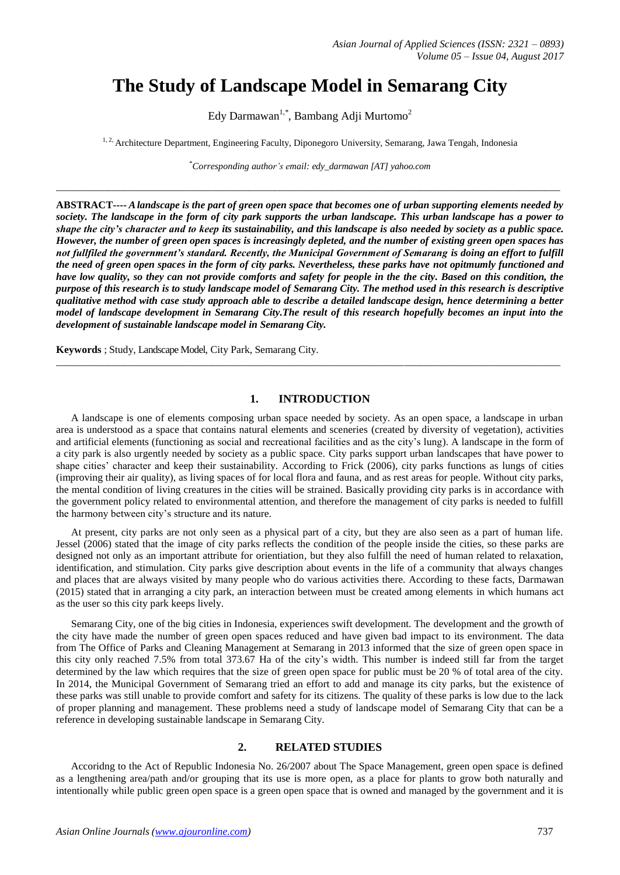# **The Study of Landscape Model in Semarang City**

Edy Darmawan<sup>1,\*</sup>, Bambang Adji Murtomo<sup>2</sup>

<sup>1, 2</sup>, Architecture Department, Engineering Faculty, Diponegoro University, Semarang, Jawa Tengah, Indonesia

\**Corresponding author's email: edy\_darmawan [AT] yahoo.com*

\_\_\_\_\_\_\_\_\_\_\_\_\_\_\_\_\_\_\_\_\_\_\_\_\_\_\_\_\_\_\_\_\_\_\_\_\_\_\_\_\_\_\_\_\_\_\_\_\_\_\_\_\_\_\_\_\_\_\_\_\_\_\_\_\_\_\_\_\_\_\_\_\_\_\_\_\_\_\_\_\_\_\_\_\_\_\_\_\_\_\_\_\_\_\_\_\_

**ABSTRACT----** *Alandscape is the part of green open space that becomes one of urban supporting elements needed by society. The landscape in the form of city park supports the urban landscape. This urban landscape has a power to shape the city's character and to keep its sustainability, and this landscape is also needed by society as a public space. However, the number of green open spaces is increasingly depleted, and the number of existing green open spaces has not fullfiled the government's standard. Recently, the Municipal Government of Semarang is doing an effort to fulfill the need of green open spaces in the form of city parks. Nevertheless, these parks have not opitmumly functioned and have low quality, so they can not provide comforts and safety for people in the the city. Based on this condition, the purpose of this research is to study landscape model of Semarang City. The method used in this research is descriptive qualitative method with case study approach able to describe a detailed landscape design, hence determining a better model of landscape development in Semarang City.The result of this research hopefully becomes an input into the development of sustainable landscape model in Semarang City.* 

**Keywords** ; Study, Landscape Model, City Park, Semarang City.

#### **1. INTRODUCTION**

\_\_\_\_\_\_\_\_\_\_\_\_\_\_\_\_\_\_\_\_\_\_\_\_\_\_\_\_\_\_\_\_\_\_\_\_\_\_\_\_\_\_\_\_\_\_\_\_\_\_\_\_\_\_\_\_\_\_\_\_\_\_\_\_\_\_\_\_\_\_\_\_\_\_\_\_\_\_\_\_\_\_\_\_\_\_\_\_\_\_\_\_\_\_\_\_\_

A landscape is one of elements composing urban space needed by society. As an open space, a landscape in urban area is understood as a space that contains natural elements and sceneries (created by diversity of vegetation), activities and artificial elements (functioning as social and recreational facilities and as the city's lung). A landscape in the form of a city park is also urgently needed by society as a public space. City parks support urban landscapes that have power to shape cities' character and keep their sustainability. According to Frick (2006), city parks functions as lungs of cities (improving their air quality), as living spaces of for local flora and fauna, and as rest areas for people. Without city parks, the mental condition of living creatures in the cities will be strained. Basically providing city parks is in accordance with the government policy related to environmental attention, and therefore the management of city parks is needed to fulfill the harmony between city's structure and its nature.

At present, city parks are not only seen as a physical part of a city, but they are also seen as a part of human life. Jessel (2006) stated that the image of city parks reflects the condition of the people inside the cities, so these parks are designed not only as an important attribute for orientiation, but they also fulfill the need of human related to relaxation, identification, and stimulation. City parks give description about events in the life of a community that always changes and places that are always visited by many people who do various activities there. According to these facts, Darmawan (2015) stated that in arranging a city park, an interaction between must be created among elements in which humans act as the user so this city park keeps lively.

Semarang City, one of the big cities in Indonesia, experiences swift development. The development and the growth of the city have made the number of green open spaces reduced and have given bad impact to its environment. The data from The Office of Parks and Cleaning Management at Semarang in 2013 informed that the size of green open space in this city only reached 7.5% from total 373.67 Ha of the city's width. This number is indeed still far from the target determined by the law which requires that the size of green open space for public must be 20 % of total area of the city. In 2014, the Municipal Government of Semarang tried an effort to add and manage its city parks, but the existence of these parks was still unable to provide comfort and safety for its citizens. The quality of these parks is low due to the lack of proper planning and management. These problems need a study of landscape model of Semarang City that can be a reference in developing sustainable landscape in Semarang City.

#### **2. RELATED STUDIES**

Accoridng to the Act of Republic Indonesia No. 26/2007 about The Space Management, green open space is defined as a lengthening area/path and/or grouping that its use is more open, as a place for plants to grow both naturally and intentionally while public green open space is a green open space that is owned and managed by the government and it is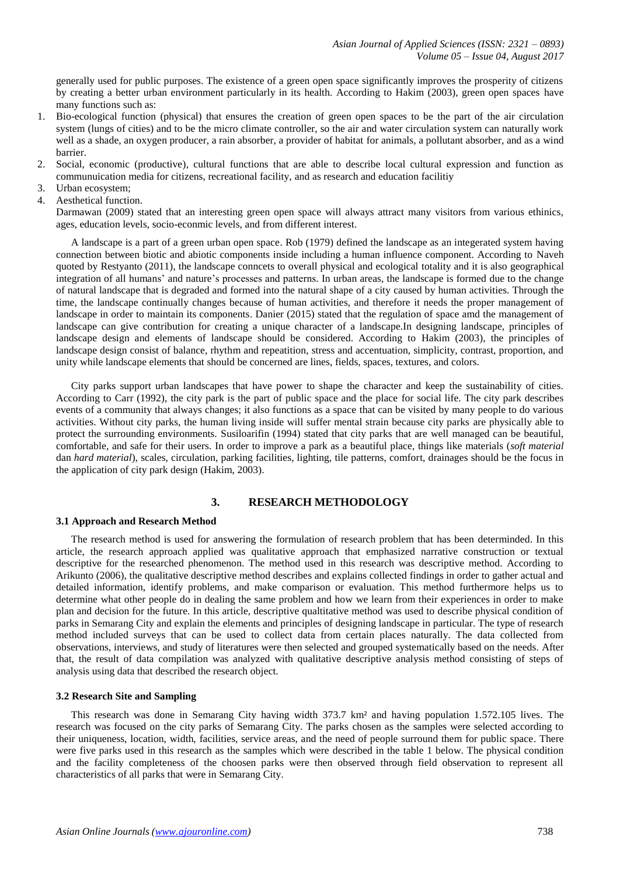generally used for public purposes. The existence of a green open space significantly improves the prosperity of citizens by creating a better urban environment particularly in its health. According to Hakim (2003), green open spaces have many functions such as:

- 1. Bio-ecological function (physical) that ensures the creation of green open spaces to be the part of the air circulation system (lungs of cities) and to be the micro climate controller, so the air and water circulation system can naturally work well as a shade, an oxygen producer, a rain absorber, a provider of habitat for animals, a pollutant absorber, and as a wind barrier.
- 2. Social, economic (productive), cultural functions that are able to describe local cultural expression and function as communuication media for citizens, recreational facility, and as research and education facilitiy
- 3. Urban ecosystem;
- 4. Aesthetical function.

Darmawan (2009) stated that an interesting green open space will always attract many visitors from various ethinics, ages, education levels, socio-econmic levels, and from different interest.

A landscape is a part of a green urban open space. Rob (1979) defined the landscape as an integerated system having connection between biotic and abiotic components inside including a human influence component. According to Naveh quoted by Restyanto (2011), the landscape conncets to overall physical and ecological totality and it is also geographical integration of all humans' and nature's processes and patterns. In urban areas, the landscape is formed due to the change of natural landscape that is degraded and formed into the natural shape of a city caused by human activities. Through the time, the landscape continually changes because of human activities, and therefore it needs the proper management of landscape in order to maintain its components. Danier (2015) stated that the regulation of space amd the management of landscape can give contribution for creating a unique character of a landscape.In designing landscape, principles of landscape design and elements of landscape should be considered. According to Hakim (2003), the principles of landscape design consist of balance, rhythm and repeatition, stress and accentuation, simplicity, contrast, proportion, and unity while landscape elements that should be concerned are lines, fields, spaces, textures, and colors.

City parks support urban landscapes that have power to shape the character and keep the sustainability of cities. City parks support urban landscapes that have power to shape the character and keep the sustainability of cities.<br>According to Carr (1992), the city park is the part of public space and the place for social life. The city events of a community that always changes; it also functions as a space that can be visited by many people to do various activities. Without city parks, the human living inside will suffer mental strain because city parks are physically able to protect the surrounding environments. Susiloarifin (1994) stated that city parks that are well managed can be beautiful, comfortable, and safe for their users. In order to improve a park as a beautiful place, things like materials (*soft material*  dan *hard material*), scales, circulation, parking facilities, lighting, tile patterns, comfort, drainages should be the focus in the application of city park design (Hakim, 2003).

#### **3. RESEARCH METHODOLOGY**

#### **3.1 Approach and Research Method**

The research method is used for answering the formulation of research problem that has been determinded. In this article, the research approach applied was qualitative approach that emphasized narrative construction or textual descriptive for the researched phenomenon. The method used in this research was descriptive method. According to Arikunto (2006), the qualitative descriptive method describes and explains collected findings in order to gather actual and detailed information, identify problems, and make comparison or evaluation. This method furthermore helps us to determine what other people do in dealing the same problem and how we learn from their experiences in order to make plan and decision for the future. In this article, descriptive qualtitative method was used to describe physical condition of parks in Semarang City and explain the elements and principles of designing landscape in particular. The type of research method included surveys that can be used to collect data from certain places naturally. The data collected from observations, interviews, and study of literatures were then selected and grouped systematically based on the needs. After that, the result of data compilation was analyzed with qualitative descriptive analysis method consisting of steps of analysis using data that described the research object.

#### **3.2 Research Site and Sampling**

This research was done in Semarang City having width 373.7 km² and having population 1.572.105 lives. The research was focused on the city parks of Semarang City. The parks chosen as the samples were selected according to their uniqueness, location, width, facilities, service areas, and the need of people surround them for public space. There were five parks used in this research as the samples which were described in the table 1 below. The physical condition and the facility completeness of the choosen parks were then observed through field observation to represent all characteristics of all parks that were in Semarang City.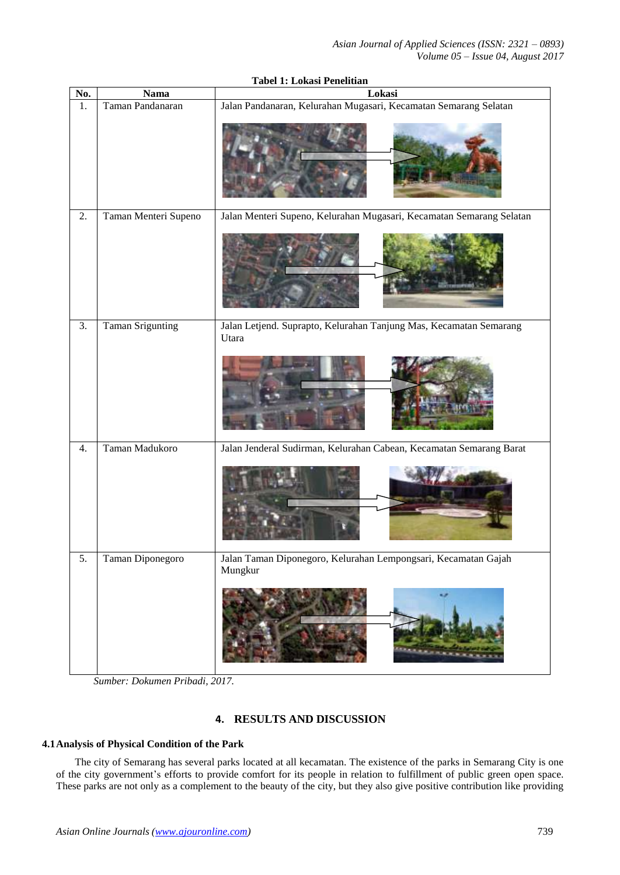| No. | <b>Nama</b>             | Lokasi                                                                      |  |  |  |
|-----|-------------------------|-----------------------------------------------------------------------------|--|--|--|
| 1.  | Taman Pandanaran        | Jalan Pandanaran, Kelurahan Mugasari, Kecamatan Semarang Selatan            |  |  |  |
|     |                         |                                                                             |  |  |  |
| 2.  | Taman Menteri Supeno    | Jalan Menteri Supeno, Kelurahan Mugasari, Kecamatan Semarang Selatan        |  |  |  |
|     |                         |                                                                             |  |  |  |
| 3.  | <b>Taman Srigunting</b> | Jalan Letjend. Suprapto, Kelurahan Tanjung Mas, Kecamatan Semarang<br>Utara |  |  |  |
|     |                         |                                                                             |  |  |  |
| 4.  | Taman Madukoro          | Jalan Jenderal Sudirman, Kelurahan Cabean, Kecamatan Semarang Barat         |  |  |  |
|     |                         |                                                                             |  |  |  |
| 5.  | Taman Diponegoro        | Jalan Taman Diponegoro, Kelurahan Lempongsari, Kecamatan Gajah<br>Mungkur   |  |  |  |
|     |                         |                                                                             |  |  |  |

**Tabel 1: Lokasi Penelitian**

*Sumber: Dokumen Pribadi, 2017.*

## **4. RESULTS AND DISCUSSION**

### **4.1Analysis of Physical Condition of the Park**

The city of Semarang has several parks located at all kecamatan. The existence of the parks in Semarang City is one of the city government's efforts to provide comfort for its people in relation to fulfillment of public green open space. These parks are not only as a complement to the beauty of the city, but they also give positive contribution like providing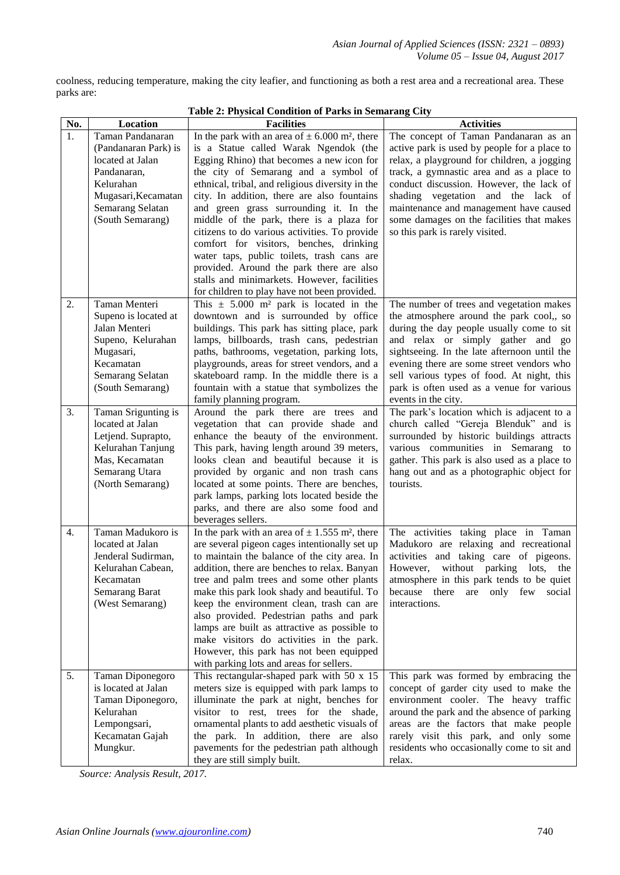coolness, reducing temperature, making the city leafier, and functioning as both a rest area and a recreational area. These parks are:

| No. | Location              | <b>Facilities</b>                                                                      | <b>Activities</b>                            |
|-----|-----------------------|----------------------------------------------------------------------------------------|----------------------------------------------|
| 1.  | Taman Pandanaran      | In the park with an area of $\pm$ 6.000 m <sup>2</sup> , there                         | The concept of Taman Pandanaran as an        |
|     | (Pandanaran Park) is  | is a Statue called Warak Ngendok (the                                                  | active park is used by people for a place to |
|     | located at Jalan      | Egging Rhino) that becomes a new icon for                                              | relax, a playground for children, a jogging  |
|     | Pandanaran,           | the city of Semarang and a symbol of                                                   | track, a gymnastic area and as a place to    |
|     | Kelurahan             | ethnical, tribal, and religious diversity in the                                       | conduct discussion. However, the lack of     |
|     | Mugasari, Kecamatan   | city. In addition, there are also fountains                                            | shading vegetation and the lack of           |
|     | Semarang Selatan      | and green grass surrounding it. In the                                                 | maintenance and management have caused       |
|     | (South Semarang)      | middle of the park, there is a plaza for                                               | some damages on the facilities that makes    |
|     |                       | citizens to do various activities. To provide                                          | so this park is rarely visited.              |
|     |                       | comfort for visitors, benches, drinking                                                |                                              |
|     |                       | water taps, public toilets, trash cans are<br>provided. Around the park there are also |                                              |
|     |                       | stalls and minimarkets. However, facilities                                            |                                              |
|     |                       | for children to play have not been provided.                                           |                                              |
| 2.  | Taman Menteri         | This $\pm$ 5.000 m <sup>2</sup> park is located in the                                 | The number of trees and vegetation makes     |
|     | Supeno is located at  | downtown and is surrounded by office                                                   | the atmosphere around the park cool,, so     |
|     | Jalan Menteri         | buildings. This park has sitting place, park                                           | during the day people usually come to sit    |
|     | Supeno, Kelurahan     | lamps, billboards, trash cans, pedestrian                                              | and relax or simply gather and go            |
|     | Mugasari,             | paths, bathrooms, vegetation, parking lots,                                            | sightseeing. In the late afternoon until the |
|     | Kecamatan             | playgrounds, areas for street vendors, and a                                           | evening there are some street vendors who    |
|     | Semarang Selatan      | skateboard ramp. In the middle there is a                                              | sell various types of food. At night, this   |
|     | (South Semarang)      | fountain with a statue that symbolizes the                                             | park is often used as a venue for various    |
|     |                       | family planning program.                                                               | events in the city.                          |
| 3.  | Taman Srigunting is   | Around the park there are trees and                                                    | The park's location which is adjacent to a   |
|     | located at Jalan      | vegetation that can provide shade and                                                  | church called "Gereja Blenduk" and is        |
|     | Letjend. Suprapto,    | enhance the beauty of the environment.                                                 | surrounded by historic buildings attracts    |
|     | Kelurahan Tanjung     | This park, having length around 39 meters,                                             | various communities in Semarang to           |
|     | Mas, Kecamatan        | looks clean and beautiful because it is                                                | gather. This park is also used as a place to |
|     | Semarang Utara        | provided by organic and non trash cans                                                 | hang out and as a photographic object for    |
|     | (North Semarang)      | located at some points. There are benches,                                             | tourists.                                    |
|     |                       | park lamps, parking lots located beside the                                            |                                              |
|     |                       | parks, and there are also some food and                                                |                                              |
| 4.  | Taman Madukoro is     | beverages sellers.<br>In the park with an area of $\pm$ 1.555 m <sup>2</sup> , there   | The activities taking place in Taman         |
|     | located at Jalan      | are several pigeon cages intentionally set up                                          | Madukoro are relaxing and recreational       |
|     | Jenderal Sudirman,    | to maintain the balance of the city area. In                                           | activities and taking care of pigeons.       |
|     | Kelurahan Cabean,     | addition, there are benches to relax. Banyan                                           | without parking lots,<br>However,<br>the     |
|     | Kecamatan             | tree and palm trees and some other plants                                              | atmosphere in this park tends to be quiet    |
|     | <b>Semarang Barat</b> | make this park look shady and beautiful. To                                            | because there<br>only few<br>social<br>are   |
|     | (West Semarang)       | keep the environment clean, trash can are                                              | interactions.                                |
|     |                       | also provided. Pedestrian paths and park                                               |                                              |
|     |                       | lamps are built as attractive as possible to                                           |                                              |
|     |                       | make visitors do activities in the park.                                               |                                              |
|     |                       | However, this park has not been equipped                                               |                                              |
|     |                       | with parking lots and areas for sellers.                                               |                                              |
| 5.  | Taman Diponegoro      | This rectangular-shaped park with $50 \times 15$                                       | This park was formed by embracing the        |
|     | is located at Jalan   | meters size is equipped with park lamps to                                             | concept of garder city used to make the      |
|     | Taman Diponegoro,     | illuminate the park at night, benches for                                              | environment cooler. The heavy traffic        |
|     | Kelurahan             | visitor to rest, trees for the shade,                                                  | around the park and the absence of parking   |
|     | Lempongsari,          | ornamental plants to add aesthetic visuals of                                          | areas are the factors that make people       |
|     | Kecamatan Gajah       | the park. In addition, there are also                                                  | rarely visit this park, and only some        |
|     | Mungkur.              | pavements for the pedestrian path although                                             | residents who occasionally come to sit and   |
|     |                       | they are still simply built.                                                           | relax.                                       |

**Table 2: Physical Condition of Parks in Semarang City**

*Source: Analysis Result, 2017.*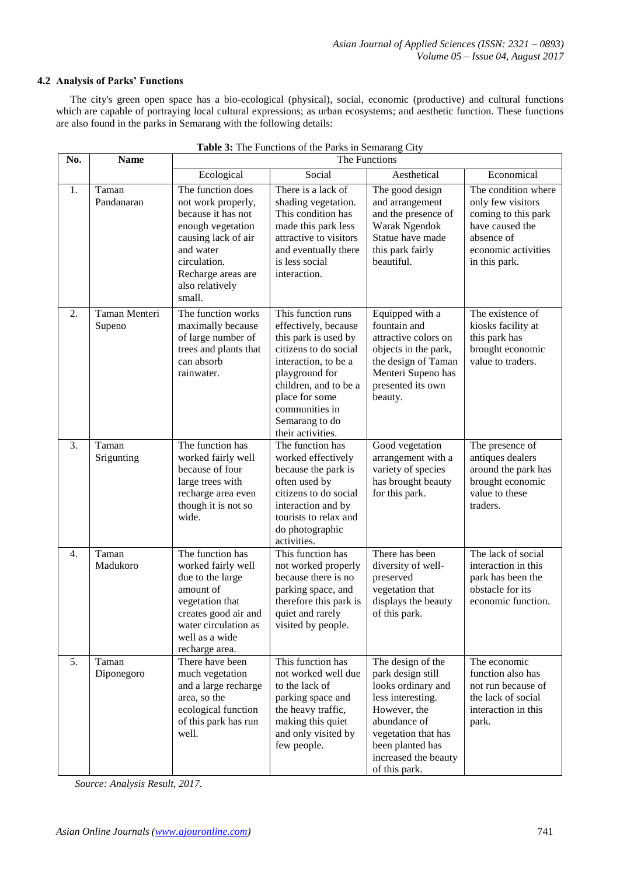#### **4.2 Analysis of Parks' Functions**

The city's green open space has a bio-ecological (physical), social, economic (productive) and cultural functions which are capable of portraying local cultural expressions; as urban ecosystems; and aesthetic function. These functions are also found in the parks in Semarang with the following details:

| No. | <b>Name</b>             | The Functions                                                                                                                                                                             |                                                                                                                                                                                                                                           |                                                                                                                                                                                                       |                                                                                                                                          |
|-----|-------------------------|-------------------------------------------------------------------------------------------------------------------------------------------------------------------------------------------|-------------------------------------------------------------------------------------------------------------------------------------------------------------------------------------------------------------------------------------------|-------------------------------------------------------------------------------------------------------------------------------------------------------------------------------------------------------|------------------------------------------------------------------------------------------------------------------------------------------|
|     |                         | Ecological                                                                                                                                                                                | Social                                                                                                                                                                                                                                    | Aesthetical                                                                                                                                                                                           | Economical                                                                                                                               |
| 1.  | Taman<br>Pandanaran     | The function does<br>not work properly,<br>because it has not<br>enough vegetation<br>causing lack of air<br>and water<br>circulation.<br>Recharge areas are<br>also relatively<br>small. | There is a lack of<br>shading vegetation.<br>This condition has<br>made this park less<br>attractive to visitors<br>and eventually there<br>is less social<br>interaction.                                                                | The good design<br>and arrangement<br>and the presence of<br>Warak Ngendok<br>Statue have made<br>this park fairly<br>beautiful.                                                                      | The condition where<br>only few visitors<br>coming to this park<br>have caused the<br>absence of<br>economic activities<br>in this park. |
| 2.  | Taman Menteri<br>Supeno | The function works<br>maximally because<br>of large number of<br>trees and plants that<br>can absorb<br>rainwater.                                                                        | This function runs<br>effectively, because<br>this park is used by<br>citizens to do social<br>interaction, to be a<br>playground for<br>children, and to be a<br>place for some<br>communities in<br>Semarang to do<br>their activities. | Equipped with a<br>fountain and<br>attractive colors on<br>objects in the park,<br>the design of Taman<br>Menteri Supeno has<br>presented its own<br>beauty.                                          | The existence of<br>kiosks facility at<br>this park has<br>brought economic<br>value to traders.                                         |
| 3.  | Taman<br>Srigunting     | The function has<br>worked fairly well<br>because of four<br>large trees with<br>recharge area even<br>though it is not so<br>wide.                                                       | The function has<br>worked effectively<br>because the park is<br>often used by<br>citizens to do social<br>interaction and by<br>tourists to relax and<br>do photographic<br>activities.                                                  | Good vegetation<br>arrangement with a<br>variety of species<br>has brought beauty<br>for this park.                                                                                                   | The presence of<br>antiques dealers<br>around the park has<br>brought economic<br>value to these<br>traders.                             |
| 4.  | Taman<br>Madukoro       | The function has<br>worked fairly well<br>due to the large<br>amount of<br>vegetation that<br>creates good air and<br>water circulation as<br>well as a wide<br>recharge area.            | This function has<br>not worked properly<br>because there is no<br>parking space, and<br>therefore this park is<br>quiet and rarely<br>visited by people.                                                                                 | There has been<br>diversity of well-<br>preserved<br>vegetation that<br>displays the beauty<br>of this park.                                                                                          | The lack of social<br>interaction in this<br>park has been the<br>obstacle for its<br>economic function.                                 |
| 5.  | Taman<br>Diponegoro     | There have been<br>much vegetation<br>and a large recharge<br>area, so the<br>ecological function<br>of this park has run<br>well.                                                        | This function has<br>not worked well due<br>to the lack of<br>parking space and<br>the heavy traffic,<br>making this quiet<br>and only visited by<br>few people.                                                                          | The design of the<br>park design still<br>looks ordinary and<br>less interesting.<br>However, the<br>abundance of<br>vegetation that has<br>been planted has<br>increased the beauty<br>of this park. | The economic<br>function also has<br>not run because of<br>the lack of social<br>interaction in this<br>park.                            |

|  | Table 3: The Functions of the Parks in Semarang City |  |
|--|------------------------------------------------------|--|
|  |                                                      |  |

*Source: Analysis Result, 2017.*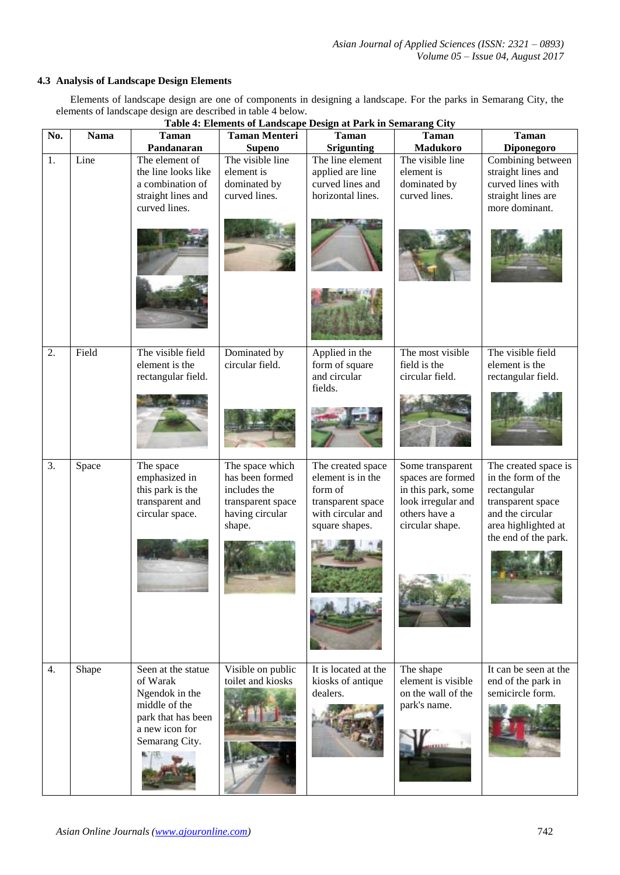#### **4.3 Analysis of Landscape Design Elements**

Elements of landscape design are one of components in designing a landscape. For the parks in Semarang City, the elements of landscape design are described in table 4 below.

|                  | Table 4: Elements of Landscape Design at Park in Semarang City |                                     |                                       |                                   |                                          |                                        |  |  |
|------------------|----------------------------------------------------------------|-------------------------------------|---------------------------------------|-----------------------------------|------------------------------------------|----------------------------------------|--|--|
| No.              | <b>Nama</b>                                                    | <b>Taman</b><br>Pandanaran          | <b>Taman Menteri</b><br><b>Supeno</b> | <b>Taman</b><br><b>Srigunting</b> | <b>Taman</b><br><b>Madukoro</b>          | <b>Taman</b><br><b>Diponegoro</b>      |  |  |
| 1.               | Line                                                           | The element of                      | The visible line                      | The line element                  | The visible line                         | Combining between                      |  |  |
|                  |                                                                | the line looks like                 | element is                            | applied are line                  | element is                               | straight lines and                     |  |  |
|                  |                                                                | a combination of                    | dominated by                          | curved lines and                  | dominated by                             | curved lines with                      |  |  |
|                  |                                                                | straight lines and                  | curved lines.                         | horizontal lines.                 | curved lines.                            | straight lines are                     |  |  |
|                  |                                                                | curved lines.                       |                                       |                                   |                                          | more dominant.                         |  |  |
|                  |                                                                |                                     |                                       |                                   |                                          |                                        |  |  |
|                  |                                                                |                                     |                                       |                                   |                                          |                                        |  |  |
|                  |                                                                |                                     |                                       |                                   |                                          |                                        |  |  |
|                  |                                                                |                                     |                                       |                                   |                                          |                                        |  |  |
|                  |                                                                |                                     |                                       |                                   |                                          |                                        |  |  |
|                  |                                                                |                                     |                                       |                                   |                                          |                                        |  |  |
|                  |                                                                |                                     |                                       |                                   |                                          |                                        |  |  |
|                  |                                                                |                                     |                                       |                                   |                                          |                                        |  |  |
|                  |                                                                |                                     |                                       |                                   |                                          |                                        |  |  |
|                  |                                                                |                                     |                                       |                                   |                                          | The visible field                      |  |  |
| 2.               | Field                                                          | The visible field<br>element is the | Dominated by<br>circular field.       | Applied in the<br>form of square  | The most visible<br>field is the         | element is the                         |  |  |
|                  |                                                                | rectangular field.                  |                                       | and circular                      | circular field.                          | rectangular field.                     |  |  |
|                  |                                                                |                                     |                                       | fields.                           |                                          |                                        |  |  |
|                  |                                                                |                                     |                                       |                                   |                                          |                                        |  |  |
|                  |                                                                |                                     |                                       |                                   |                                          |                                        |  |  |
|                  |                                                                |                                     |                                       |                                   |                                          |                                        |  |  |
|                  |                                                                |                                     |                                       |                                   |                                          |                                        |  |  |
|                  |                                                                |                                     |                                       |                                   |                                          |                                        |  |  |
| $\overline{3}$ . | Space                                                          | The space                           | The space which                       | The created space                 | Some transparent                         | The created space is                   |  |  |
|                  |                                                                | emphasized in                       | has been formed                       | element is in the                 | spaces are formed                        | in the form of the                     |  |  |
|                  |                                                                | this park is the<br>transparent and | includes the<br>transparent space     | form of<br>transparent space      | in this park, some<br>look irregular and | rectangular<br>transparent space       |  |  |
|                  |                                                                | circular space.                     | having circular                       | with circular and                 | others have a                            | and the circular                       |  |  |
|                  |                                                                |                                     | shape.                                | square shapes.                    | circular shape.                          | area highlighted at                    |  |  |
|                  |                                                                |                                     |                                       |                                   |                                          | the end of the park.                   |  |  |
|                  |                                                                |                                     |                                       |                                   |                                          |                                        |  |  |
|                  |                                                                |                                     |                                       |                                   |                                          |                                        |  |  |
|                  |                                                                |                                     |                                       |                                   |                                          |                                        |  |  |
|                  |                                                                |                                     |                                       |                                   |                                          |                                        |  |  |
|                  |                                                                |                                     |                                       |                                   |                                          |                                        |  |  |
|                  |                                                                |                                     |                                       |                                   |                                          |                                        |  |  |
|                  |                                                                |                                     |                                       |                                   |                                          |                                        |  |  |
|                  |                                                                |                                     |                                       |                                   |                                          |                                        |  |  |
|                  |                                                                |                                     |                                       |                                   |                                          |                                        |  |  |
| 4.               | Shape                                                          | Seen at the statue                  | Visible on public                     | It is located at the              | The shape                                | It can be seen at the                  |  |  |
|                  |                                                                | of Warak                            | toilet and kiosks                     | kiosks of antique                 | element is visible                       | end of the park in<br>semicircle form. |  |  |
|                  |                                                                | Ngendok in the<br>middle of the     |                                       | dealers.                          | on the wall of the<br>park's name.       |                                        |  |  |
|                  |                                                                | park that has been                  |                                       |                                   |                                          |                                        |  |  |
|                  |                                                                | a new icon for                      |                                       |                                   |                                          |                                        |  |  |
|                  |                                                                | Semarang City.                      |                                       |                                   |                                          |                                        |  |  |
|                  |                                                                |                                     |                                       |                                   |                                          |                                        |  |  |
|                  |                                                                |                                     |                                       |                                   |                                          |                                        |  |  |
|                  |                                                                |                                     |                                       |                                   |                                          |                                        |  |  |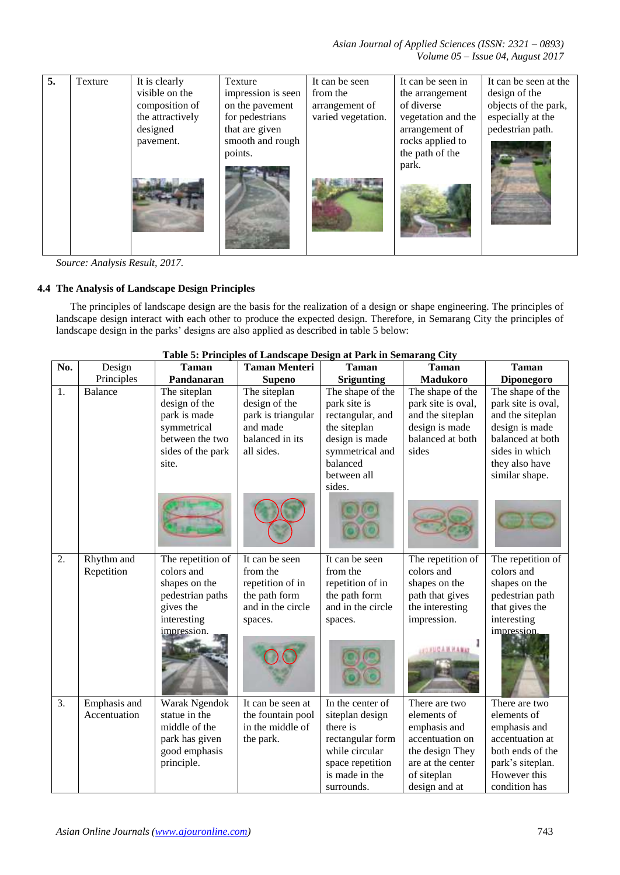*Asian Journal of Applied Sciences (ISSN: 2321 – 0893) Volume 05 – Issue 04, August 2017*

| 5. | Texture | It is clearly    | Texture            | It can be seen     | It can be seen in  | It can be seen at the |
|----|---------|------------------|--------------------|--------------------|--------------------|-----------------------|
|    |         | visible on the   | impression is seen | from the           | the arrangement    | design of the         |
|    |         | composition of   | on the pavement    | arrangement of     | of diverse         | objects of the park,  |
|    |         | the attractively | for pedestrians    | varied vegetation. | vegetation and the | especially at the     |
|    |         | designed         | that are given     |                    | arrangement of     | pedestrian path.      |
|    |         | pavement.        | smooth and rough   |                    | rocks applied to   |                       |
|    |         |                  | points.            |                    | the path of the    |                       |
|    |         |                  |                    |                    | park.              |                       |

*Source: Analysis Result, 2017.*

## **4.4 The Analysis of Landscape Design Principles**

The principles of landscape design are the basis for the realization of a design or shape engineering. The principles of landscape design interact with each other to produce the expected design. Therefore, in Semarang City the principles of landscape design in the parks' designs are also applied as described in table 5 below:

| No. | <b>Taman Menteri</b><br>Design<br><b>Taman</b> |                   | <b>Taman</b>       | <b>Taman</b>      | <b>Taman</b>       |                    |
|-----|------------------------------------------------|-------------------|--------------------|-------------------|--------------------|--------------------|
|     | Principles                                     | Pandanaran        | <b>Supeno</b>      | <b>Srigunting</b> | Madukoro           | Diponegoro         |
| 1.  | Balance                                        | The siteplan      | The siteplan       | The shape of the  | The shape of the   | The shape of the   |
|     |                                                | design of the     | design of the      | park site is      | park site is oval, | park site is oval, |
|     |                                                | park is made      | park is triangular | rectangular, and  | and the siteplan   | and the siteplan   |
|     |                                                | symmetrical       | and made           | the siteplan      | design is made     | design is made     |
|     |                                                | between the two   | balanced in its    | design is made    | balanced at both   | balanced at both   |
|     |                                                | sides of the park | all sides.         | symmetrical and   | sides              | sides in which     |
|     |                                                | site.             |                    | balanced          |                    | they also have     |
|     |                                                |                   |                    | between all       |                    | similar shape.     |
|     |                                                |                   |                    | sides.            |                    |                    |
|     |                                                |                   |                    |                   |                    |                    |
| 2.  | Rhythm and                                     | The repetition of | It can be seen     | It can be seen    | The repetition of  | The repetition of  |
|     | Repetition                                     | colors and        | from the           | from the          | colors and         | colors and         |
|     |                                                | shapes on the     | repetition of in   | repetition of in  | shapes on the      | shapes on the      |
|     |                                                | pedestrian paths  | the path form      | the path form     | path that gives    | pedestrian path    |
|     |                                                | gives the         | and in the circle  | and in the circle | the interesting    | that gives the     |
|     |                                                | interesting       | spaces.            | spaces.           | impression.        | interesting        |
|     |                                                | impression.       |                    |                   |                    | impression.        |
| 3.  | Emphasis and                                   | Warak Ngendok     | It can be seen at  | In the center of  | There are two      | There are two      |
|     | Accentuation                                   | statue in the     | the fountain pool  | siteplan design   | elements of        | elements of        |
|     |                                                | middle of the     | in the middle of   | there is          | emphasis and       | emphasis and       |
|     |                                                | park has given    | the park.          | rectangular form  | accentuation on    | accentuation at    |
|     |                                                | good emphasis     |                    | while circular    | the design They    | both ends of the   |
|     |                                                | principle.        |                    | space repetition  | are at the center  | park's siteplan.   |
|     |                                                |                   |                    | is made in the    | of siteplan        | However this       |
|     |                                                |                   |                    | surrounds.        | design and at      | condition has      |

#### **Table 5: Principles of Landscape Design at Park in Semarang City**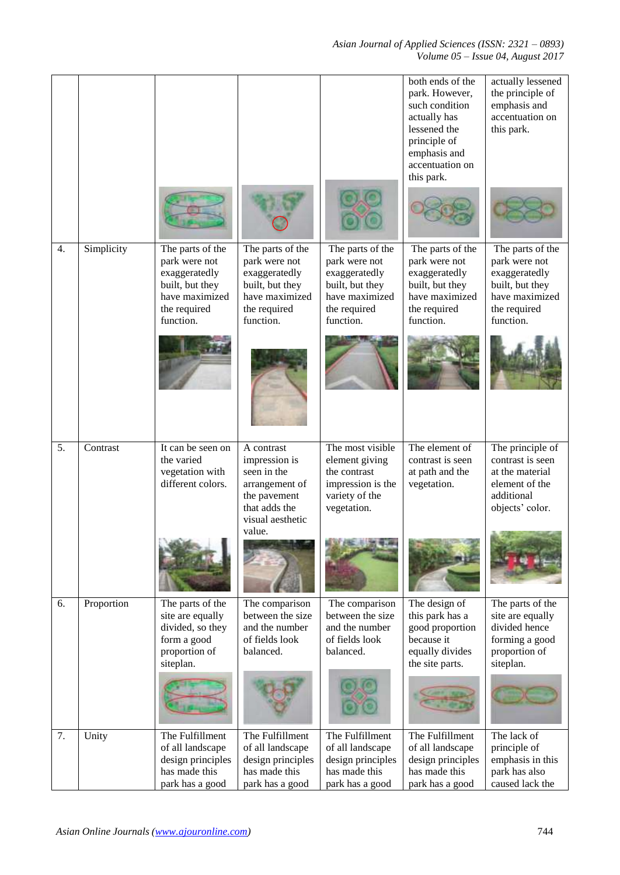*Asian Journal of Applied Sciences (ISSN: 2321 – 0893) Volume 05 – Issue 04, August 2017*

|    |            |                                                                                                                      |                                                                                                                             |                                                                                                                      | both ends of the<br>park. However,<br>such condition<br>actually has<br>lessened the<br>principle of<br>emphasis and<br>accentuation on<br>this park. | actually lessened<br>the principle of<br>emphasis and<br>accentuation on<br>this park.                               |
|----|------------|----------------------------------------------------------------------------------------------------------------------|-----------------------------------------------------------------------------------------------------------------------------|----------------------------------------------------------------------------------------------------------------------|-------------------------------------------------------------------------------------------------------------------------------------------------------|----------------------------------------------------------------------------------------------------------------------|
| 4. | Simplicity | The parts of the<br>park were not<br>exaggeratedly<br>built, but they<br>have maximized<br>the required<br>function. | The parts of the<br>park were not<br>exaggeratedly<br>built, but they<br>have maximized<br>the required<br>function.        | The parts of the<br>park were not<br>exaggeratedly<br>built, but they<br>have maximized<br>the required<br>function. | The parts of the<br>park were not<br>exaggeratedly<br>built, but they<br>have maximized<br>the required<br>function.                                  | The parts of the<br>park were not<br>exaggeratedly<br>built, but they<br>have maximized<br>the required<br>function. |
| 5. | Contrast   | It can be seen on<br>the varied<br>vegetation with<br>different colors.                                              | A contrast<br>impression is<br>seen in the<br>arrangement of<br>the pavement<br>that adds the<br>visual aesthetic<br>value. | The most visible<br>element giving<br>the contrast<br>impression is the<br>variety of the<br>vegetation.             | The element of<br>contrast is seen<br>at path and the<br>vegetation.                                                                                  | The principle of<br>contrast is seen<br>at the material<br>element of the<br>additional<br>objects' color.           |
| 6. | Proportion | The parts of the<br>site are equally<br>divided, so they<br>form a good<br>proportion of<br>siteplan.                | The comparison<br>between the size<br>and the number<br>of fields look<br>balanced.                                         | The comparison<br>between the size<br>and the number<br>of fields look<br>balanced.                                  | The design of<br>this park has a<br>good proportion<br>because it<br>equally divides<br>the site parts.                                               | The parts of the<br>site are equally<br>divided hence<br>forming a good<br>proportion of<br>siteplan.                |
| 7. | Unity      | The Fulfillment<br>of all landscape<br>design principles<br>has made this<br>park has a good                         | The Fulfillment<br>of all landscape<br>design principles<br>has made this<br>park has a good                                | The Fulfillment<br>of all landscape<br>design principles<br>has made this<br>park has a good                         | The Fulfillment<br>of all landscape<br>design principles<br>has made this<br>park has a good                                                          | The lack of<br>principle of<br>emphasis in this<br>park has also<br>caused lack the                                  |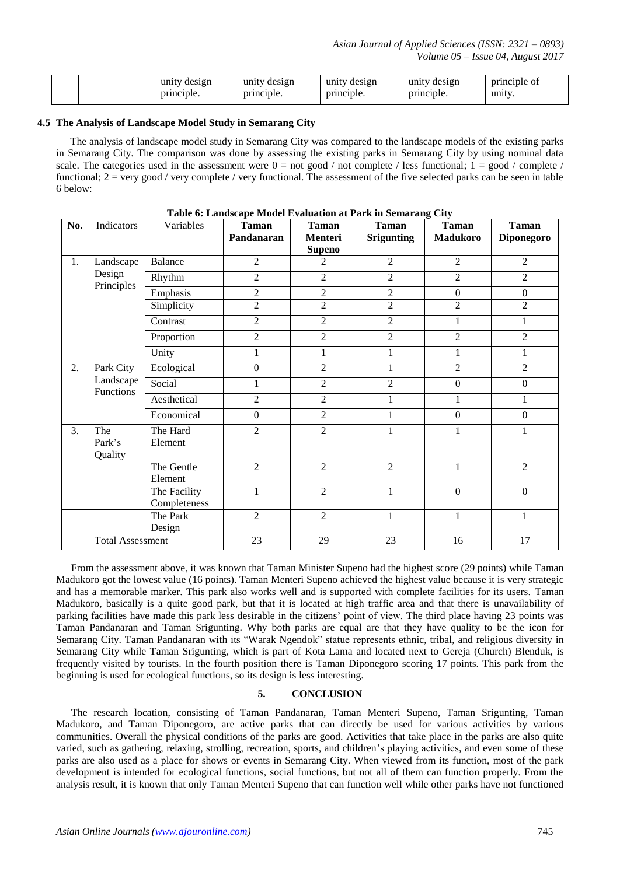|  | design<br>unity | unity<br>design | design<br>unity | unity<br>design | principle of |
|--|-----------------|-----------------|-----------------|-----------------|--------------|
|  | principle.      | principle.      | principle.      | principle.      | unity.       |

#### **4.5 The Analysis of Landscape Model Study in Semarang City**

The analysis of landscape model study in Semarang City was compared to the landscape models of the existing parks in Semarang City. The comparison was done by assessing the existing parks in Semarang City by using nominal data scale. The categories used in the assessment were  $0 = not good / not complete / less functional; 1 = good / complete /$ functional;  $2 = \text{very good / very complete / very functional.}$  The assessment of the five selected parks can be seen in table 6 below:

| No. | Indicators                    | Variables                    | <b>Taman</b><br>Pandanaran | <b>Taman</b><br>Menteri<br><b>Supeno</b> | <b>Taman</b><br><b>Srigunting</b> | <b>Taman</b><br><b>Madukoro</b> | <b>Taman</b><br>Diponegoro |
|-----|-------------------------------|------------------------------|----------------------------|------------------------------------------|-----------------------------------|---------------------------------|----------------------------|
| 1.  | Landscape                     | Balance                      | $\overline{2}$             | $\overline{c}$                           | $\overline{2}$                    | 2                               | 2                          |
|     | Design                        | Rhythm                       | $\overline{2}$             | $\overline{2}$                           | $\overline{2}$                    | $\overline{2}$                  | $\overline{2}$             |
|     | Principles                    | Emphasis                     | $\overline{c}$             | $\overline{2}$                           | $\overline{2}$                    | $\boldsymbol{0}$                | $\boldsymbol{0}$           |
|     |                               | Simplicity                   | $\overline{2}$             | $\overline{2}$                           | $\overline{2}$                    | $\overline{2}$                  | $\overline{2}$             |
|     |                               | Contrast                     | $\overline{2}$             | $\overline{2}$                           | 2                                 | 1                               | 1                          |
|     |                               | Proportion                   | $\overline{2}$             | $\overline{2}$                           | $\overline{2}$                    | $\overline{2}$                  | $\overline{2}$             |
|     |                               | Unity                        | 1                          | 1                                        | $\mathbf{1}$                      | 1                               | 1                          |
| 2.  | Park City                     | Ecological                   | $\overline{0}$             | $\overline{2}$                           | $\mathbf{1}$                      | $\overline{2}$                  | 2                          |
|     | Landscape<br><b>Functions</b> | Social                       | 1                          | $\overline{2}$                           | $\overline{c}$                    | $\boldsymbol{0}$                | $\boldsymbol{0}$           |
|     |                               | Aesthetical                  | $\overline{2}$             | $\overline{2}$                           | $\mathbf{1}$                      | $\mathbf{1}$                    | $\mathbf{1}$               |
|     |                               | Economical                   | $\overline{0}$             | $\overline{2}$                           | 1                                 | $\mathbf{0}$                    | $\overline{0}$             |
| 3.  | The<br>Park's<br>Quality      | The Hard<br>Element          | $\overline{2}$             | $\overline{2}$                           | $\mathbf{1}$                      | $\mathbf{1}$                    | $\mathbf{1}$               |
|     |                               | The Gentle<br>Element        | $\overline{2}$             | $\overline{2}$                           | $\overline{2}$                    | $\mathbf{1}$                    | $\overline{2}$             |
|     |                               | The Facility<br>Completeness | 1                          | $\overline{2}$                           | 1                                 | $\mathbf{0}$                    | $\mathbf{0}$               |
|     |                               | The Park<br>Design           | $\overline{2}$             | $\overline{2}$                           | $\mathbf{1}$                      | 1                               | $\mathbf{1}$               |
|     | <b>Total Assessment</b>       |                              | 23                         | 29                                       | 23                                | 16                              | 17                         |

**Table 6: Landscape Model Evaluation at Park in Semarang City**

From the assessment above, it was known that Taman Minister Supeno had the highest score (29 points) while Taman Madukoro got the lowest value (16 points). Taman Menteri Supeno achieved the highest value because it is very strategic and has a memorable marker. This park also works well and is supported with complete facilities for its users. Taman Madukoro, basically is a quite good park, but that it is located at high traffic area and that there is unavailability of parking facilities have made this park less desirable in the citizens' point of view. The third place having 23 points was Taman Pandanaran and Taman Srigunting. Why both parks are equal are that they have quality to be the icon for Semarang City. Taman Pandanaran with its "Warak Ngendok" statue represents ethnic, tribal, and religious diversity in Semarang City while Taman Srigunting, which is part of Kota Lama and located next to Gereja (Church) Blenduk, is frequently visited by tourists. In the fourth position there is Taman Diponegoro scoring 17 points. This park from the beginning is used for ecological functions, so its design is less interesting.

#### **5. CONCLUSION**

The research location, consisting of Taman Pandanaran, Taman Menteri Supeno, Taman Srigunting, Taman Madukoro, and Taman Diponegoro, are active parks that can directly be used for various activities by various communities. Overall the physical conditions of the parks are good. Activities that take place in the parks are also quite varied, such as gathering, relaxing, strolling, recreation, sports, and children's playing activities, and even some of these parks are also used as a place for shows or events in Semarang City. When viewed from its function, most of the park development is intended for ecological functions, social functions, but not all of them can function properly. From the analysis result, it is known that only Taman Menteri Supeno that can function well while other parks have not functioned